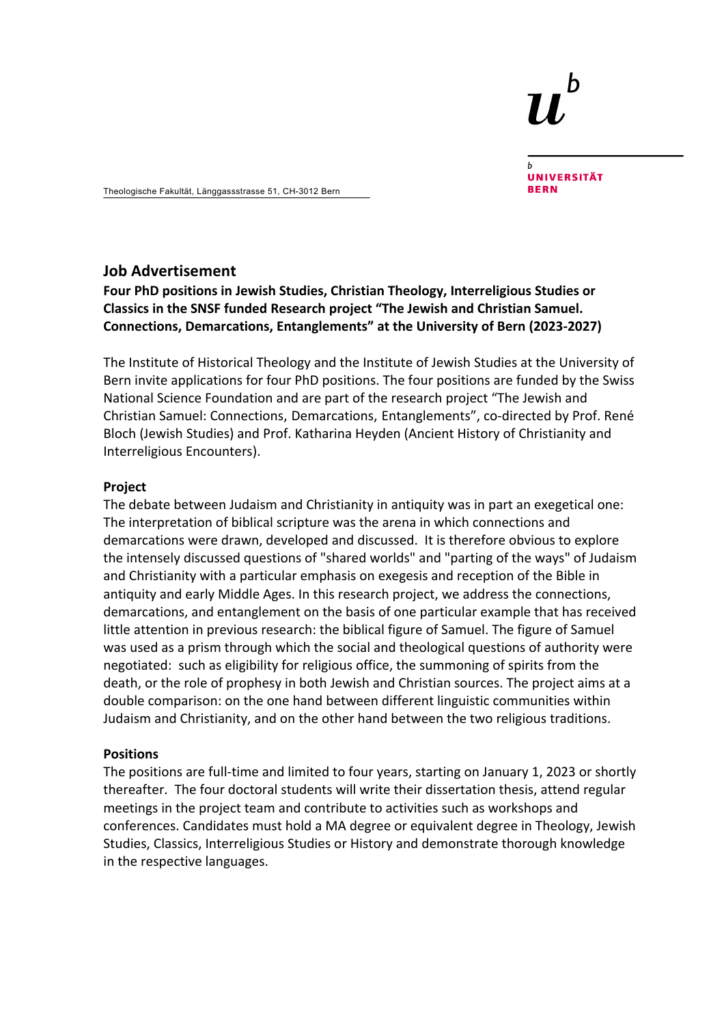# h

**UNIVERSITÄT RFRN** 

Theologische Fakultät, Länggassstrasse 51, CH-3012 Bern

## **Job Advertisement**

**Four PhD positions in Jewish Studies, Christian Theology, Interreligious Studies or Classics in the SNSF funded Research project "The Jewish and Christian Samuel. Connections, Demarcations, Entanglements" at the University of Bern (2023-2027)**

The Institute of Historical Theology and the Institute of Jewish Studies at the University of Bern invite applications for four PhD positions. The four positions are funded by the Swiss National Science Foundation and are part of the research project "The Jewish and Christian Samuel: Connections, Demarcations, Entanglements", co-directed by Prof. René Bloch (Jewish Studies) and Prof. Katharina Heyden (Ancient History of Christianity and Interreligious Encounters).

#### **Project**

The debate between Judaism and Christianity in antiquity was in part an exegetical one: The interpretation of biblical scripture was the arena in which connections and demarcations were drawn, developed and discussed. It is therefore obvious to explore the intensely discussed questions of "shared worlds" and "parting of the ways" of Judaism and Christianity with a particular emphasis on exegesis and reception of the Bible in antiquity and early Middle Ages. In this research project, we address the connections, demarcations, and entanglement on the basis of one particular example that has received little attention in previous research: the biblical figure of Samuel. The figure of Samuel was used as a prism through which the social and theological questions of authority were negotiated: such as eligibility for religious office, the summoning of spirits from the death, or the role of prophesy in both Jewish and Christian sources. The project aims at a double comparison: on the one hand between different linguistic communities within Judaism and Christianity, and on the other hand between the two religious traditions.

#### **Positions**

The positions are full-time and limited to four years, starting on January 1, 2023 or shortly thereafter. The four doctoral students will write their dissertation thesis, attend regular meetings in the project team and contribute to activities such as workshops and conferences. Candidates must hold a MA degree or equivalent degree in Theology, Jewish Studies, Classics, Interreligious Studies or History and demonstrate thorough knowledge in the respective languages.